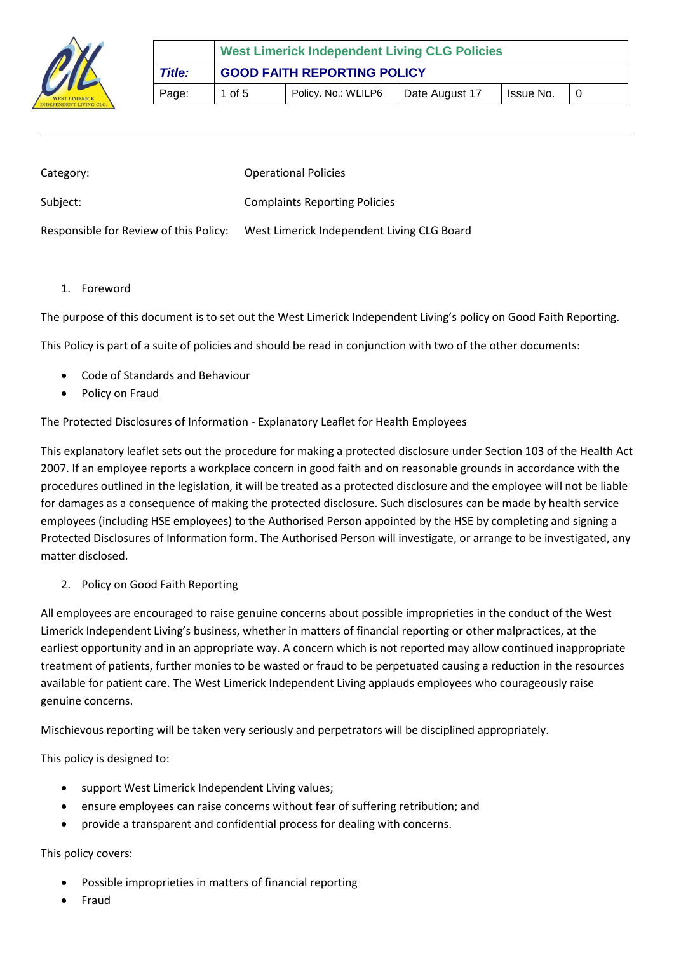

|               | <b>West Limerick Independent Living CLG Policies</b> |                     |                |           |  |
|---------------|------------------------------------------------------|---------------------|----------------|-----------|--|
| <b>Title:</b> | <b>GOOD FAITH REPORTING POLICY</b>                   |                     |                |           |  |
| Page:         | 1 of 5                                               | Policy. No.: WLILP6 | Date August 17 | Issue No. |  |

| Category:                              | <b>Operational Policies</b>                |
|----------------------------------------|--------------------------------------------|
| Subject:                               | <b>Complaints Reporting Policies</b>       |
| Responsible for Review of this Policy: | West Limerick Independent Living CLG Board |

1. Foreword

The purpose of this document is to set out the West Limerick Independent Living's policy on Good Faith Reporting.

This Policy is part of a suite of policies and should be read in conjunction with two of the other documents:

- Code of Standards and Behaviour
- Policy on Fraud

The Protected Disclosures of Information - Explanatory Leaflet for Health Employees

This explanatory leaflet sets out the procedure for making a protected disclosure under Section 103 of the Health Act 2007. If an employee reports a workplace concern in good faith and on reasonable grounds in accordance with the procedures outlined in the legislation, it will be treated as a protected disclosure and the employee will not be liable for damages as a consequence of making the protected disclosure. Such disclosures can be made by health service employees (including HSE employees) to the Authorised Person appointed by the HSE by completing and signing a Protected Disclosures of Information form. The Authorised Person will investigate, or arrange to be investigated, any matter disclosed.

2. Policy on Good Faith Reporting

All employees are encouraged to raise genuine concerns about possible improprieties in the conduct of the West Limerick Independent Living's business, whether in matters of financial reporting or other malpractices, at the earliest opportunity and in an appropriate way. A concern which is not reported may allow continued inappropriate treatment of patients, further monies to be wasted or fraud to be perpetuated causing a reduction in the resources available for patient care. The West Limerick Independent Living applauds employees who courageously raise genuine concerns.

Mischievous reporting will be taken very seriously and perpetrators will be disciplined appropriately.

This policy is designed to:

- support West Limerick Independent Living values;
- ensure employees can raise concerns without fear of suffering retribution; and
- provide a transparent and confidential process for dealing with concerns.

## This policy covers:

- Possible improprieties in matters of financial reporting
- Fraud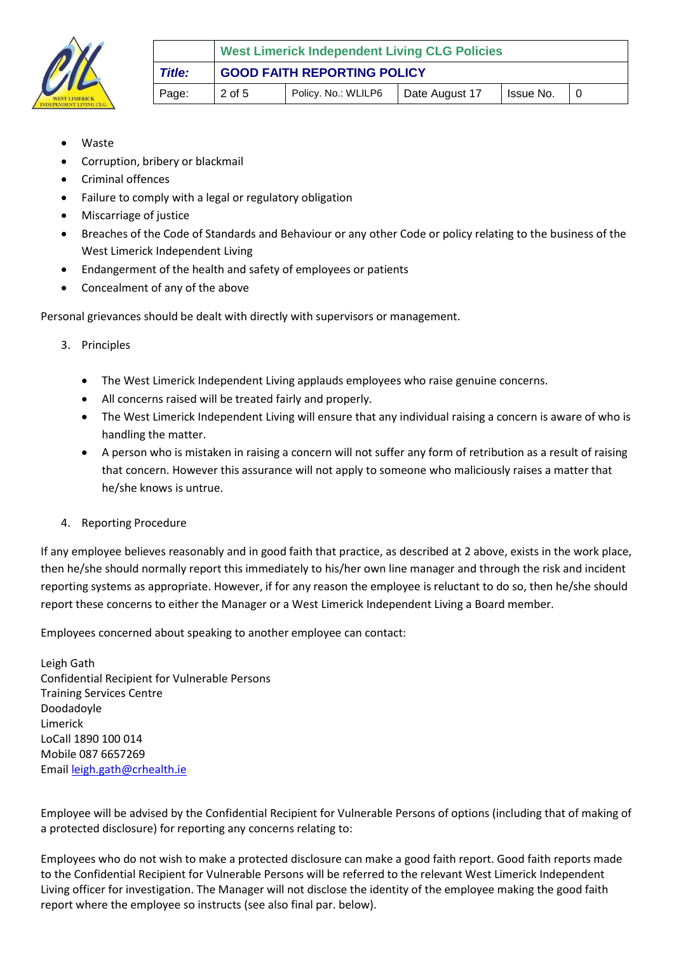

- Waste
- Corruption, bribery or blackmail
- Criminal offences
- Failure to comply with a legal or regulatory obligation
- Miscarriage of justice
- Breaches of the Code of Standards and Behaviour or any other Code or policy relating to the business of the West Limerick Independent Living
- Endangerment of the health and safety of employees or patients
- Concealment of any of the above

Personal grievances should be dealt with directly with supervisors or management.

- 3. Principles
	- The West Limerick Independent Living applauds employees who raise genuine concerns.
	- All concerns raised will be treated fairly and properly.
	- The West Limerick Independent Living will ensure that any individual raising a concern is aware of who is handling the matter.
	- A person who is mistaken in raising a concern will not suffer any form of retribution as a result of raising that concern. However this assurance will not apply to someone who maliciously raises a matter that he/she knows is untrue.
- 4. Reporting Procedure

If any employee believes reasonably and in good faith that practice, as described at 2 above, exists in the work place, then he/she should normally report this immediately to his/her own line manager and through the risk and incident reporting systems as appropriate. However, if for any reason the employee is reluctant to do so, then he/she should report these concerns to either the Manager or a West Limerick Independent Living a Board member.

Employees concerned about speaking to another employee can contact:

Leigh Gath Confidential Recipient for Vulnerable Persons Training Services Centre Doodadoyle Limerick LoCall 1890 100 014 Mobile 087 6657269 Email [leigh.gath@crhealth.ie](mailto:leigh.gath@crhealth.ie)

Employee will be advised by the Confidential Recipient for Vulnerable Persons of options (including that of making of a protected disclosure) for reporting any concerns relating to:

Employees who do not wish to make a protected disclosure can make a good faith report. Good faith reports made to the Confidential Recipient for Vulnerable Persons will be referred to the relevant West Limerick Independent Living officer for investigation. The Manager will not disclose the identity of the employee making the good faith report where the employee so instructs (see also final par. below).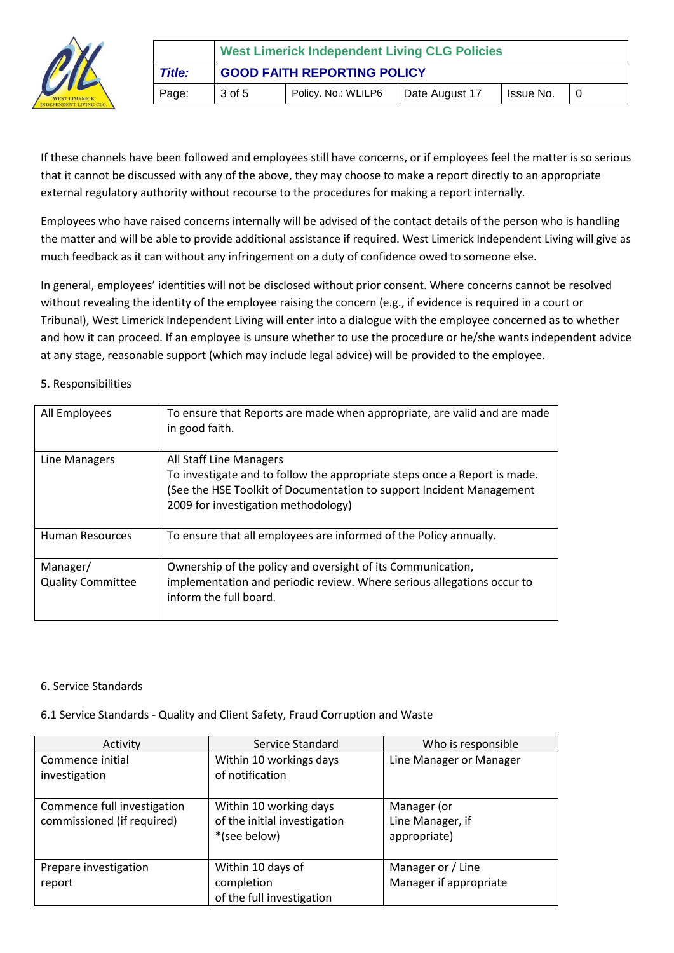

|               | <b>West Limerick Independent Living CLG Policies</b> |                     |                |             |  |
|---------------|------------------------------------------------------|---------------------|----------------|-------------|--|
| <b>Title:</b> | <b>GOOD FAITH REPORTING POLICY</b>                   |                     |                |             |  |
| Page:         | 3 of 5                                               | Policy. No.: WLILP6 | Date August 17 | I Issue No. |  |

If these channels have been followed and employees still have concerns, or if employees feel the matter is so serious that it cannot be discussed with any of the above, they may choose to make a report directly to an appropriate external regulatory authority without recourse to the procedures for making a report internally.

Employees who have raised concerns internally will be advised of the contact details of the person who is handling the matter and will be able to provide additional assistance if required. West Limerick Independent Living will give as much feedback as it can without any infringement on a duty of confidence owed to someone else.

In general, employees' identities will not be disclosed without prior consent. Where concerns cannot be resolved without revealing the identity of the employee raising the concern (e.g., if evidence is required in a court or Tribunal), West Limerick Independent Living will enter into a dialogue with the employee concerned as to whether and how it can proceed. If an employee is unsure whether to use the procedure or he/she wants independent advice at any stage, reasonable support (which may include legal advice) will be provided to the employee.

## 5. Responsibilities

| All Employees                        | To ensure that Reports are made when appropriate, are valid and are made<br>in good faith.                                                                                                                          |
|--------------------------------------|---------------------------------------------------------------------------------------------------------------------------------------------------------------------------------------------------------------------|
| Line Managers                        | All Staff Line Managers<br>To investigate and to follow the appropriate steps once a Report is made.<br>(See the HSE Toolkit of Documentation to support Incident Management<br>2009 for investigation methodology) |
| <b>Human Resources</b>               | To ensure that all employees are informed of the Policy annually.                                                                                                                                                   |
| Manager/<br><b>Quality Committee</b> | Ownership of the policy and oversight of its Communication,<br>implementation and periodic review. Where serious allegations occur to<br>inform the full board.                                                     |

#### 6. Service Standards

## 6.1 Service Standards - Quality and Client Safety, Fraud Corruption and Waste

| Activity                                                  | Service Standard                                                       | Who is responsible                              |
|-----------------------------------------------------------|------------------------------------------------------------------------|-------------------------------------------------|
| Commence initial<br>investigation                         | Within 10 workings days<br>of notification                             | Line Manager or Manager                         |
| Commence full investigation<br>commissioned (if required) | Within 10 working days<br>of the initial investigation<br>*(see below) | Manager (or<br>Line Manager, if<br>appropriate) |
| Prepare investigation<br>report                           | Within 10 days of<br>completion<br>of the full investigation           | Manager or / Line<br>Manager if appropriate     |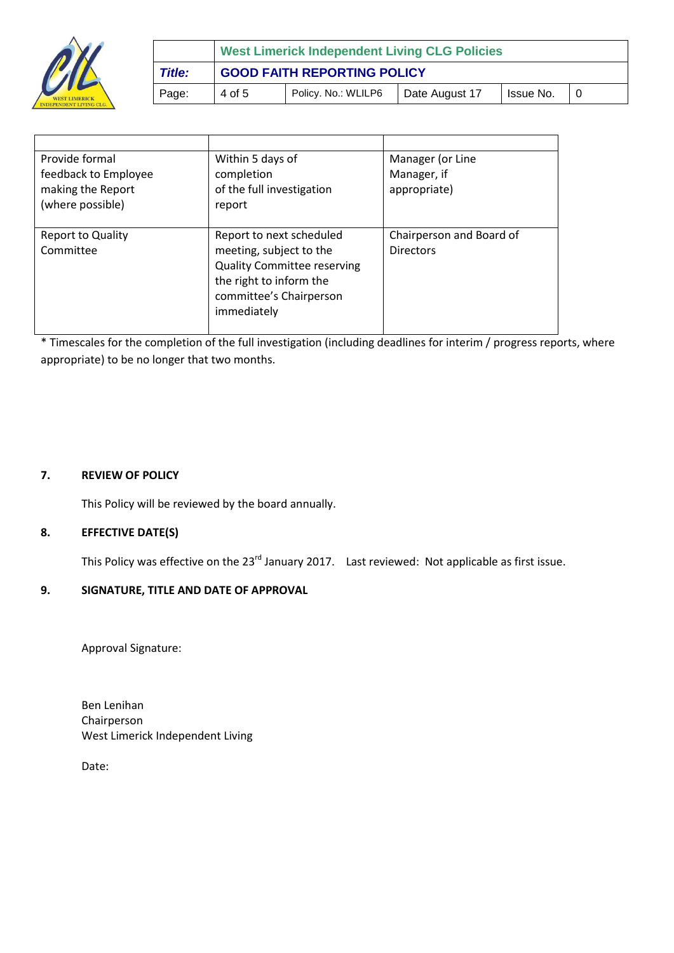

|               | <b>West Limerick Independent Living CLG Policies</b> |                     |                |           |  |
|---------------|------------------------------------------------------|---------------------|----------------|-----------|--|
| <b>Title:</b> | <b>GOOD FAITH REPORTING POLICY</b>                   |                     |                |           |  |
| Page:         | 4 of 5                                               | Policy. No.: WLILP6 | Date August 17 | Issue No. |  |

| Provide formal           | Within 5 days of                   | Manager (or Line         |
|--------------------------|------------------------------------|--------------------------|
| feedback to Employee     | completion                         | Manager, if              |
| making the Report        | of the full investigation          | appropriate)             |
| (where possible)         | report                             |                          |
|                          |                                    |                          |
| <b>Report to Quality</b> | Report to next scheduled           | Chairperson and Board of |
| Committee                | meeting, subject to the            | Directors                |
|                          | <b>Quality Committee reserving</b> |                          |
|                          | the right to inform the            |                          |
|                          | committee's Chairperson            |                          |
|                          | immediately                        |                          |
|                          |                                    |                          |

\* Timescales for the completion of the full investigation (including deadlines for interim / progress reports, where appropriate) to be no longer that two months.

### **7. REVIEW OF POLICY**

This Policy will be reviewed by the board annually.

## **8. EFFECTIVE DATE(S)**

This Policy was effective on the 23<sup>rd</sup> January 2017. Last reviewed: Not applicable as first issue.

## **9. SIGNATURE, TITLE AND DATE OF APPROVAL**

Approval Signature:

Ben Lenihan Chairperson West Limerick Independent Living

Date: